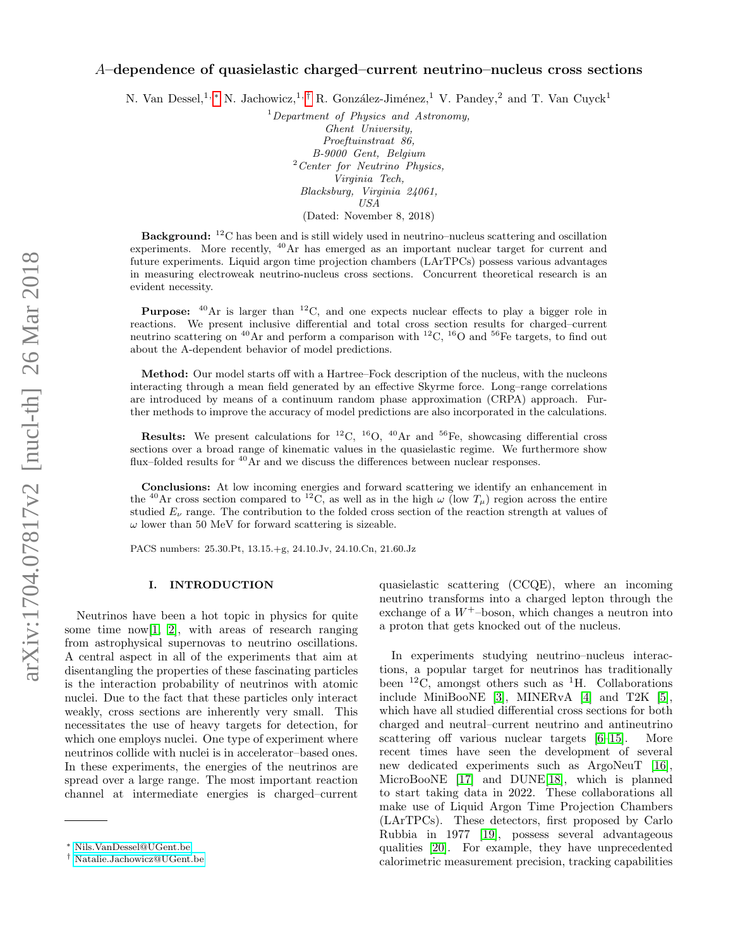# A–dependence of quasielastic charged–current neutrino–nucleus cross sections

N. Van Dessel,<sup>1,</sup> [∗](#page-0-0) N. Jachowicz,<sup>1,[†](#page-0-1)</sup> R. González-Jiménez,<sup>1</sup> V. Pandey,<sup>2</sup> and T. Van Cuyck<sup>1</sup>

 $1$ Department of Physics and Astronomy, Ghent University, Proeftuinstraat 86, B-9000 Gent, Belgium <sup>2</sup>Center for Neutrino Physics, Virginia Tech, Blacksburg, Virginia 24061, USA (Dated: November 8, 2018)

Background: <sup>12</sup>C has been and is still widely used in neutrino–nucleus scattering and oscillation experiments. More recently,  $^{40}$ Ar has emerged as an important nuclear target for current and future experiments. Liquid argon time projection chambers (LArTPCs) possess various advantages in measuring electroweak neutrino-nucleus cross sections. Concurrent theoretical research is an evident necessity.

**Purpose:**  $^{40}$ Ar is larger than  $^{12}$ C, and one expects nuclear effects to play a bigger role in reactions. We present inclusive differential and total cross section results for charged–current neutrino scattering on <sup>40</sup>Ar and perform a comparison with <sup>12</sup>C, <sup>16</sup>O and <sup>56</sup>Fe targets, to find out about the A-dependent behavior of model predictions.

Method: Our model starts off with a Hartree–Fock description of the nucleus, with the nucleons interacting through a mean field generated by an effective Skyrme force. Long–range correlations are introduced by means of a continuum random phase approximation (CRPA) approach. Further methods to improve the accuracy of model predictions are also incorporated in the calculations.

**Results:** We present calculations for <sup>12</sup>C, <sup>16</sup>O, <sup>40</sup>Ar and <sup>56</sup>Fe, showcasing differential cross sections over a broad range of kinematic values in the quasielastic regime. We furthermore show flux–folded results for  ${}^{40}$ Ar and we discuss the differences between nuclear responses.

Conclusions: At low incoming energies and forward scattering we identify an enhancement in the <sup>40</sup>Ar cross section compared to <sup>12</sup>C, as well as in the high  $\omega$  (low  $T_u$ ) region across the entire studied  $E_{\nu}$  range. The contribution to the folded cross section of the reaction strength at values of  $\omega$  lower than 50 MeV for forward scattering is sizeable.

PACS numbers: 25.30.Pt, 13.15.+g, 24.10.Jv, 24.10.Cn, 21.60.Jz

## I. INTRODUCTION

Neutrinos have been a hot topic in physics for quite some time now<sup>[\[1,](#page-7-0) [2\]](#page-7-1)</sup>, with areas of research ranging from astrophysical supernovas to neutrino oscillations. A central aspect in all of the experiments that aim at disentangling the properties of these fascinating particles is the interaction probability of neutrinos with atomic nuclei. Due to the fact that these particles only interact weakly, cross sections are inherently very small. This necessitates the use of heavy targets for detection, for which one employs nuclei. One type of experiment where neutrinos collide with nuclei is in accelerator–based ones. In these experiments, the energies of the neutrinos are spread over a large range. The most important reaction channel at intermediate energies is charged–current

quasielastic scattering (CCQE), where an incoming neutrino transforms into a charged lepton through the exchange of a  $W^+$ -boson, which changes a neutron into a proton that gets knocked out of the nucleus.

In experiments studying neutrino–nucleus interactions, a popular target for neutrinos has traditionally been  ${}^{12}C$ , amongst others such as  ${}^{1}H$ . Collaborations include MiniBooNE [\[3\]](#page-7-2), MINERvA [\[4\]](#page-7-3) and T2K [\[5\]](#page-7-4), which have all studied differential cross sections for both charged and neutral–current neutrino and antineutrino scattering off various nuclear targets [\[6](#page-7-5)[–15\]](#page-7-6). More recent times have seen the development of several new dedicated experiments such as ArgoNeuT [\[16\]](#page-7-7), MicroBooNE [\[17\]](#page-7-8) and DUNE[\[18\]](#page-7-9), which is planned to start taking data in 2022. These collaborations all make use of Liquid Argon Time Projection Chambers (LArTPCs). These detectors, first proposed by Carlo Rubbia in 1977 [\[19\]](#page-7-10), possess several advantageous qualities [\[20\]](#page-7-11). For example, they have unprecedented calorimetric measurement precision, tracking capabilities

<span id="page-0-0"></span><sup>∗</sup> [Nils.VanDessel@UGent.be](mailto:Nils.VanDessel@UGent.be)

<span id="page-0-1"></span><sup>†</sup> [Natalie.Jachowicz@UGent.be](mailto:Natalie.Jachowicz@UGent.be)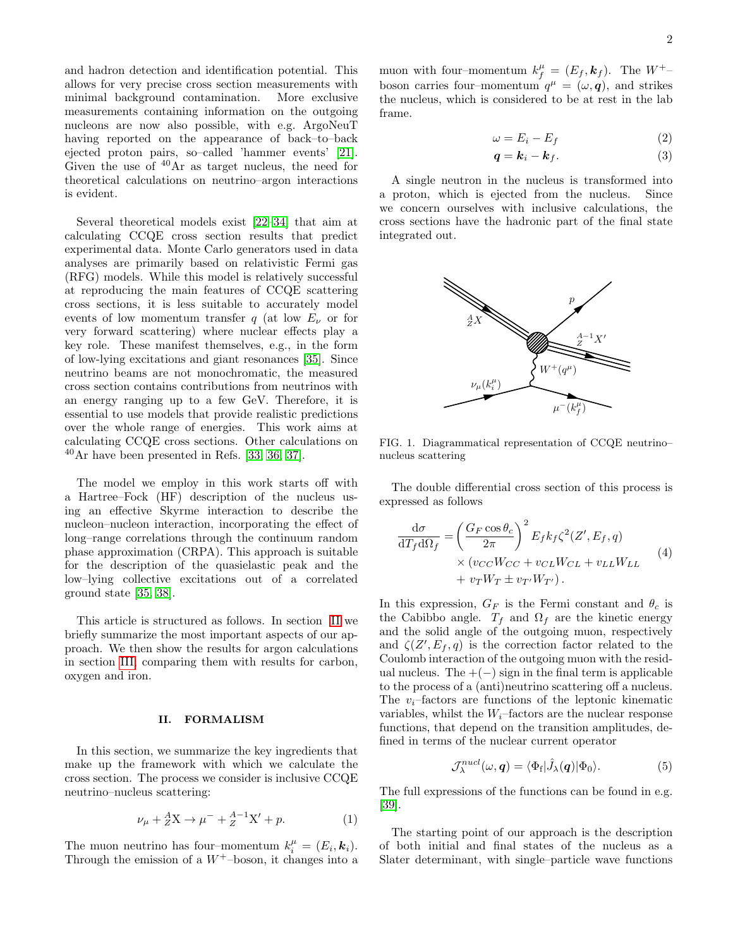and hadron detection and identification potential. This allows for very precise cross section measurements with minimal background contamination. More exclusive measurements containing information on the outgoing nucleons are now also possible, with e.g. ArgoNeuT having reported on the appearance of back–to–back ejected proton pairs, so–called 'hammer events' [\[21\]](#page-7-12). Given the use of  $40\text{Ar}$  as target nucleus, the need for theoretical calculations on neutrino–argon interactions is evident.

Several theoretical models exist [\[22–](#page-7-13)[34\]](#page-7-14) that aim at calculating CCQE cross section results that predict experimental data. Monte Carlo generators used in data analyses are primarily based on relativistic Fermi gas (RFG) models. While this model is relatively successful at reproducing the main features of CCQE scattering cross sections, it is less suitable to accurately model events of low momentum transfer q (at low  $E_{\nu}$  or for very forward scattering) where nuclear effects play a key role. These manifest themselves, e.g., in the form of low-lying excitations and giant resonances [\[35\]](#page-7-15). Since neutrino beams are not monochromatic, the measured cross section contains contributions from neutrinos with an energy ranging up to a few GeV. Therefore, it is essential to use models that provide realistic predictions over the whole range of energies. This work aims at calculating CCQE cross sections. Other calculations on  $^{40}$ Ar have been presented in Refs. [\[33,](#page-7-16) [36,](#page-7-17) [37\]](#page-7-18).

The model we employ in this work starts off with a Hartree–Fock (HF) description of the nucleus using an effective Skyrme interaction to describe the nucleon–nucleon interaction, incorporating the effect of long–range correlations through the continuum random phase approximation (CRPA). This approach is suitable for the description of the quasielastic peak and the low–lying collective excitations out of a correlated ground state [\[35,](#page-7-15) [38\]](#page-8-0).

This article is structured as follows. In section [II](#page-1-0) we briefly summarize the most important aspects of our approach. We then show the results for argon calculations in section [III,](#page-3-0) comparing them with results for carbon, oxygen and iron.

#### <span id="page-1-0"></span>II. FORMALISM

In this section, we summarize the key ingredients that make up the framework with which we calculate the cross section. The process we consider is inclusive CCQE neutrino–nucleus scattering:

$$
\nu_{\mu} + {}_{Z}^{A}\mathbf{X} \to \mu^{-} + {}_{Z}^{A-1}\mathbf{X}' + p. \tag{1}
$$

The muon neutrino has four-momentum  $k_i^{\mu} = (E_i, \mathbf{k}_i)$ . Through the emission of a  $W^+$ –boson, it changes into a

muon with four-momentum  $k_f^{\mu} = (E_f, k_f)$ . The  $W^{+}$ boson carries four–momentum  $q^{\mu} = (\omega, \mathbf{q})$ , and strikes the nucleus, which is considered to be at rest in the lab frame.

$$
\omega = E_i - E_f \tag{2}
$$

$$
\boldsymbol{q} = \boldsymbol{k}_i - \boldsymbol{k}_f. \tag{3}
$$

A single neutron in the nucleus is transformed into a proton, which is ejected from the nucleus. Since we concern ourselves with inclusive calculations, the cross sections have the hadronic part of the final state integrated out.



FIG. 1. Diagrammatical representation of CCQE neutrino– nucleus scattering

The double differential cross section of this process is expressed as follows

<span id="page-1-1"></span>
$$
\frac{d\sigma}{dT_f d\Omega_f} = \left(\frac{G_F \cos \theta_c}{2\pi}\right)^2 E_f k_f \zeta^2(Z', E_f, q)
$$
\n
$$
\times (v_{CC} W_{CC} + v_{CL} W_{CL} + v_{LL} W_{LL} + v_T W_T \pm v_{T'} W_{T'})
$$
\n(4)

In this expression,  $G_F$  is the Fermi constant and  $\theta_c$  is the Cabibbo angle.  $T_f$  and  $\Omega_f$  are the kinetic energy and the solid angle of the outgoing muon, respectively and  $\zeta(Z', E_f, q)$  is the correction factor related to the Coulomb interaction of the outgoing muon with the residual nucleus. The  $+(-)$  sign in the final term is applicable to the process of a (anti)neutrino scattering off a nucleus. The  $v_i$ -factors are functions of the leptonic kinematic variables, whilst the  $W_i$ -factors are the nuclear response functions, that depend on the transition amplitudes, defined in terms of the nuclear current operator

$$
\mathcal{J}_{\lambda}^{nucl}(\omega, \mathbf{q}) = \langle \Phi_{\mathbf{f}} | \hat{J}_{\lambda}(\mathbf{q}) | \Phi_{0} \rangle.
$$
 (5)

The full expressions of the functions can be found in e.g. [\[39\]](#page-8-1).

The starting point of our approach is the description of both initial and final states of the nucleus as a Slater determinant, with single–particle wave functions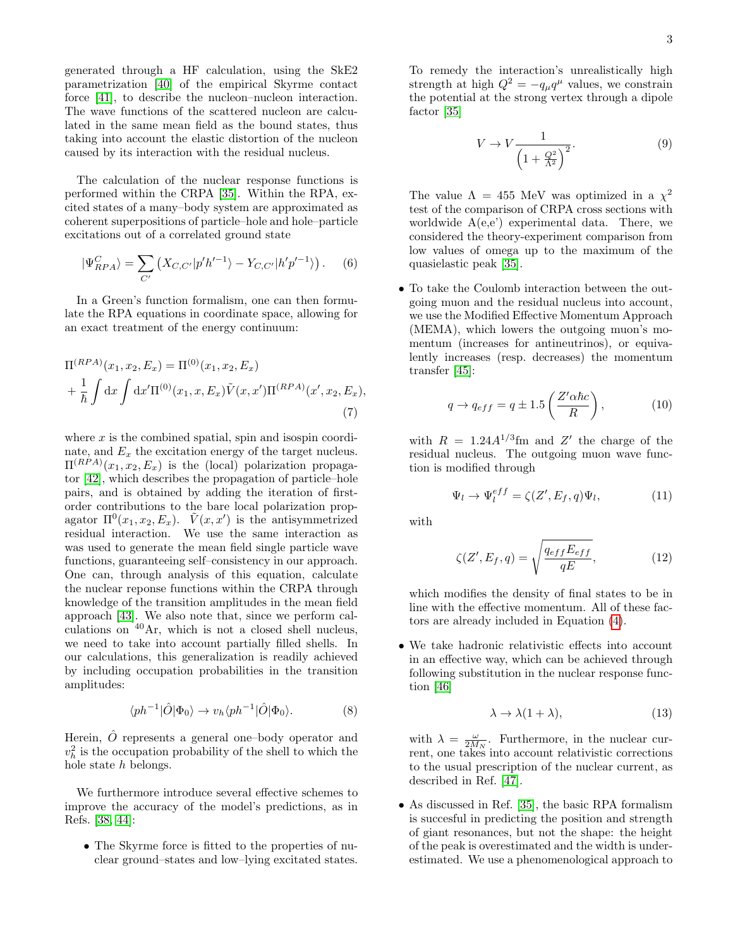generated through a HF calculation, using the SkE2 parametrization [\[40\]](#page-8-2) of the empirical Skyrme contact force [\[41\]](#page-8-3), to describe the nucleon–nucleon interaction. The wave functions of the scattered nucleon are calculated in the same mean field as the bound states, thus taking into account the elastic distortion of the nucleon caused by its interaction with the residual nucleus.

The calculation of the nuclear response functions is performed within the CRPA [\[35\]](#page-7-15). Within the RPA, excited states of a many–body system are approximated as coherent superpositions of particle–hole and hole–particle excitations out of a correlated ground state

$$
|\Psi_{RPA}^{C}\rangle = \sum_{C'} \left( X_{C,C'} |p'h'^{-1}\rangle - Y_{C,C'} |h'p'^{-1}\rangle \right). \tag{6}
$$

In a Green's function formalism, one can then formulate the RPA equations in coordinate space, allowing for an exact treatment of the energy continuum:

$$
\Pi^{(RPA)}(x_1, x_2, E_x) = \Pi^{(0)}(x_1, x_2, E_x)
$$
  
+  $\frac{1}{\hbar} \int dx \int dx' \Pi^{(0)}(x_1, x, E_x) \tilde{V}(x, x') \Pi^{(RPA)}(x', x_2, E_x),$  (7)

where  $x$  is the combined spatial, spin and isospin coordinate, and  $E_x$  the excitation energy of the target nucleus.  $\Pi^{(RPA)}(x_1, x_2, E_x)$  is the (local) polarization propagator [\[42\]](#page-8-4), which describes the propagation of particle–hole pairs, and is obtained by adding the iteration of firstorder contributions to the bare local polarization propagator  $\Pi^0(x_1, x_2, E_x)$ .  $\tilde{V}(x, x')$  is the antisymmetrized residual interaction. We use the same interaction as was used to generate the mean field single particle wave functions, guaranteeing self–consistency in our approach. One can, through analysis of this equation, calculate the nuclear reponse functions within the CRPA through knowledge of the transition amplitudes in the mean field approach [\[43\]](#page-8-5). We also note that, since we perform calculations on <sup>40</sup>Ar, which is not a closed shell nucleus, we need to take into account partially filled shells. In our calculations, this generalization is readily achieved by including occupation probabilities in the transition amplitudes:

$$
\langle ph^{-1}|\hat{O}|\Phi_0\rangle \to v_h \langle ph^{-1}|\hat{O}|\Phi_0\rangle. \tag{8}
$$

Herein,  $\hat{O}$  represents a general one–body operator and  $v_h^2$  is the occupation probability of the shell to which the hole state h belongs.

We furthermore introduce several effective schemes to improve the accuracy of the model's predictions, as in Refs. [\[38,](#page-8-0) [44\]](#page-8-6):

• The Skyrme force is fitted to the properties of nuclear ground–states and low–lying excitated states.

To remedy the interaction's unrealistically high strength at high  $Q^2 = -q_\mu q^\mu$  values, we constrain the potential at the strong vertex through a dipole factor [\[35\]](#page-7-15)

$$
V \to V \frac{1}{\left(1 + \frac{Q^2}{\Lambda^2}\right)^2}.\tag{9}
$$

The value  $\Lambda = 455$  MeV was optimized in a  $\chi^2$ test of the comparison of CRPA cross sections with worldwide  $A(e,e')$  experimental data. There, we considered the theory-experiment comparison from low values of omega up to the maximum of the quasielastic peak [\[35\]](#page-7-15).

• To take the Coulomb interaction between the outgoing muon and the residual nucleus into account, we use the Modified Effective Momentum Approach (MEMA), which lowers the outgoing muon's momentum (increases for antineutrinos), or equivalently increases (resp. decreases) the momentum transfer [\[45\]](#page-8-7):

$$
q \to q_{eff} = q \pm 1.5 \left( \frac{Z' \alpha \hbar c}{R} \right), \tag{10}
$$

with  $R = 1.24 A^{1/3}$  fm and Z' the charge of the residual nucleus. The outgoing muon wave function is modified through

$$
\Psi_l \to \Psi_l^{eff} = \zeta(Z', E_f, q)\Psi_l, \tag{11}
$$

with

$$
\zeta(Z', E_f, q) = \sqrt{\frac{q_{eff} E_{eff}}{qE}},\tag{12}
$$

which modifies the density of final states to be in line with the effective momentum. All of these factors are already included in Equation [\(4\)](#page-1-1).

• We take hadronic relativistic effects into account in an effective way, which can be achieved through following substitution in the nuclear response function [\[46\]](#page-8-8)

$$
\lambda \to \lambda (1 + \lambda), \tag{13}
$$

with  $\lambda = \frac{\omega}{2M_N}$ . Furthermore, in the nuclear current, one takes into account relativistic corrections to the usual prescription of the nuclear current, as described in Ref. [\[47\]](#page-8-9).

• As discussed in Ref. [\[35\]](#page-7-15), the basic RPA formalism is succesful in predicting the position and strength of giant resonances, but not the shape: the height of the peak is overestimated and the width is underestimated. We use a phenomenological approach to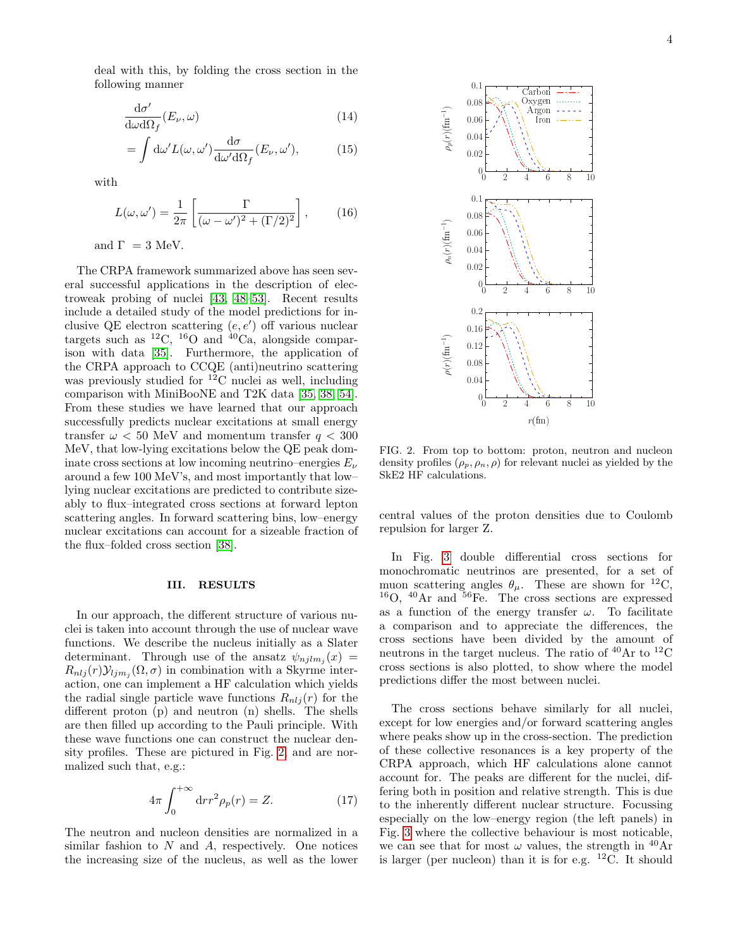deal with this, by folding the cross section in the following manner

$$
\frac{\mathrm{d}\sigma'}{\mathrm{d}\omega \mathrm{d}\Omega_f}(E_\nu,\omega) \tag{14}
$$

$$
= \int d\omega' L(\omega, \omega') \frac{d\sigma}{d\omega' d\Omega_f} (E_{\nu}, \omega'), \tag{15}
$$

with

$$
L(\omega, \omega') = \frac{1}{2\pi} \left[ \frac{\Gamma}{(\omega - \omega')^2 + (\Gamma/2)^2} \right],\qquad(16)
$$

and  $\Gamma = 3$  MeV.

The CRPA framework summarized above has seen several successful applications in the description of electroweak probing of nuclei [\[43,](#page-8-5) [48–](#page-8-10)[53\]](#page-8-11). Recent results include a detailed study of the model predictions for inclusive QE electron scattering  $(e, e')$  off various nuclear targets such as  $^{12}C$ ,  $^{16}O$  and  $^{40}Ca$ , alongside comparison with data [\[35\]](#page-7-15). Furthermore, the application of the CRPA approach to CCQE (anti)neutrino scattering was previously studied for <sup>12</sup>C nuclei as well, including comparison with MiniBooNE and T2K data [\[35,](#page-7-15) [38,](#page-8-0) [54\]](#page-8-12). From these studies we have learned that our approach successfully predicts nuclear excitations at small energy transfer  $\omega$  < 50 MeV and momentum transfer  $q$  < 300 MeV, that low-lying excitations below the QE peak dominate cross sections at low incoming neutrino–energies  $E_{\nu}$ around a few 100 MeV's, and most importantly that low– lying nuclear excitations are predicted to contribute sizeably to flux–integrated cross sections at forward lepton scattering angles. In forward scattering bins, low–energy nuclear excitations can account for a sizeable fraction of the flux–folded cross section [\[38\]](#page-8-0).

### <span id="page-3-0"></span>III. RESULTS

In our approach, the different structure of various nuclei is taken into account through the use of nuclear wave functions. We describe the nucleus initially as a Slater determinant. Through use of the ansatz  $\psi_{njlm_j}(x) =$  $R_{nlj}(r)\mathcal{Y}_{ljm_j}(\Omega,\sigma)$  in combination with a Skyrme interaction, one can implement a HF calculation which yields the radial single particle wave functions  $R_{nlj}(r)$  for the different proton (p) and neutron (n) shells. The shells are then filled up according to the Pauli principle. With these wave functions one can construct the nuclear density profiles. These are pictured in Fig. [2,](#page-3-1) and are normalized such that, e.g.:

$$
4\pi \int_0^{+\infty} dr r^2 \rho_p(r) = Z.
$$
 (17)

The neutron and nucleon densities are normalized in a similar fashion to  $N$  and  $A$ , respectively. One notices the increasing size of the nucleus, as well as the lower



<span id="page-3-1"></span>FIG. 2. From top to bottom: proton, neutron and nucleon density profiles  $(\rho_p, \rho_n, \rho)$  for relevant nuclei as yielded by the SkE2 HF calculations.

central values of the proton densities due to Coulomb repulsion for larger Z.

In Fig. [3](#page-4-0) double differential cross sections for monochromatic neutrinos are presented, for a set of muon scattering angles  $\theta_{\mu}$ . These are shown for <sup>12</sup>C,  $^{16}$ O,  $^{40}$ Ar and  $^{56}$ Fe. The cross sections are expressed as a function of the energy transfer  $\omega$ . To facilitate a comparison and to appreciate the differences, the cross sections have been divided by the amount of neutrons in the target nucleus. The ratio of  ${}^{40}\text{Ar}$  to  ${}^{12}\text{C}$ cross sections is also plotted, to show where the model predictions differ the most between nuclei.

The cross sections behave similarly for all nuclei, except for low energies and/or forward scattering angles where peaks show up in the cross-section. The prediction of these collective resonances is a key property of the CRPA approach, which HF calculations alone cannot account for. The peaks are different for the nuclei, differing both in position and relative strength. This is due to the inherently different nuclear structure. Focussing especially on the low–energy region (the left panels) in Fig. [3](#page-4-0) where the collective behaviour is most noticable, we can see that for most  $\omega$  values, the strength in <sup>40</sup>Ar is larger (per nucleon) than it is for e.g.  $^{12}$ C. It should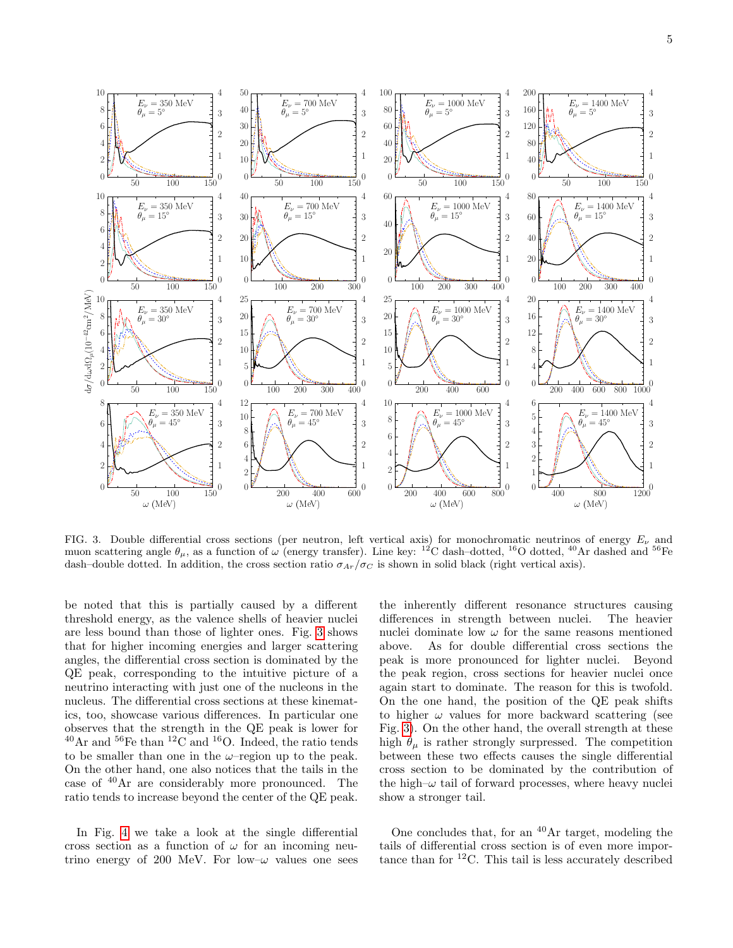

<span id="page-4-0"></span>FIG. 3. Double differential cross sections (per neutron, left vertical axis) for monochromatic neutrinos of energy  $E_{\nu}$  and muon scattering angle  $\theta_{\mu}$ , as a function of  $\omega$  (energy transfer). Line key: <sup>12</sup>C dash-dotted, <sup>16</sup>O dotted, <sup>40</sup>Ar dashed and <sup>56</sup>Fe dash–double dotted. In addition, the cross section ratio  $\sigma_{Ar}/\sigma_C$  is shown in solid black (right vertical axis).

be noted that this is partially caused by a different threshold energy, as the valence shells of heavier nuclei are less bound than those of lighter ones. Fig. [3](#page-4-0) shows that for higher incoming energies and larger scattering angles, the differential cross section is dominated by the QE peak, corresponding to the intuitive picture of a neutrino interacting with just one of the nucleons in the nucleus. The differential cross sections at these kinematics, too, showcase various differences. In particular one observes that the strength in the QE peak is lower for  $^{40}$ Ar and  $^{56}$ Fe than  $^{12}$ C and  $^{16}$ O. Indeed, the ratio tends to be smaller than one in the  $\omega$ -region up to the peak. On the other hand, one also notices that the tails in the case of <sup>40</sup>Ar are considerably more pronounced. The ratio tends to increase beyond the center of the QE peak.

In Fig. [4](#page-5-0) we take a look at the single differential cross section as a function of  $\omega$  for an incoming neutrino energy of 200 MeV. For low- $\omega$  values one sees

the inherently different resonance structures causing differences in strength between nuclei. The heavier nuclei dominate low  $\omega$  for the same reasons mentioned above. As for double differential cross sections the peak is more pronounced for lighter nuclei. Beyond the peak region, cross sections for heavier nuclei once again start to dominate. The reason for this is twofold. On the one hand, the position of the QE peak shifts to higher  $\omega$  values for more backward scattering (see Fig. [3\)](#page-4-0). On the other hand, the overall strength at these high  $\theta_{\mu}$  is rather strongly surpressed. The competition between these two effects causes the single differential cross section to be dominated by the contribution of the high– $\omega$  tail of forward processes, where heavy nuclei show a stronger tail.

One concludes that, for an  $40\text{Ar}$  target, modeling the tails of differential cross section is of even more importance than for  ${}^{12}$ C. This tail is less accurately described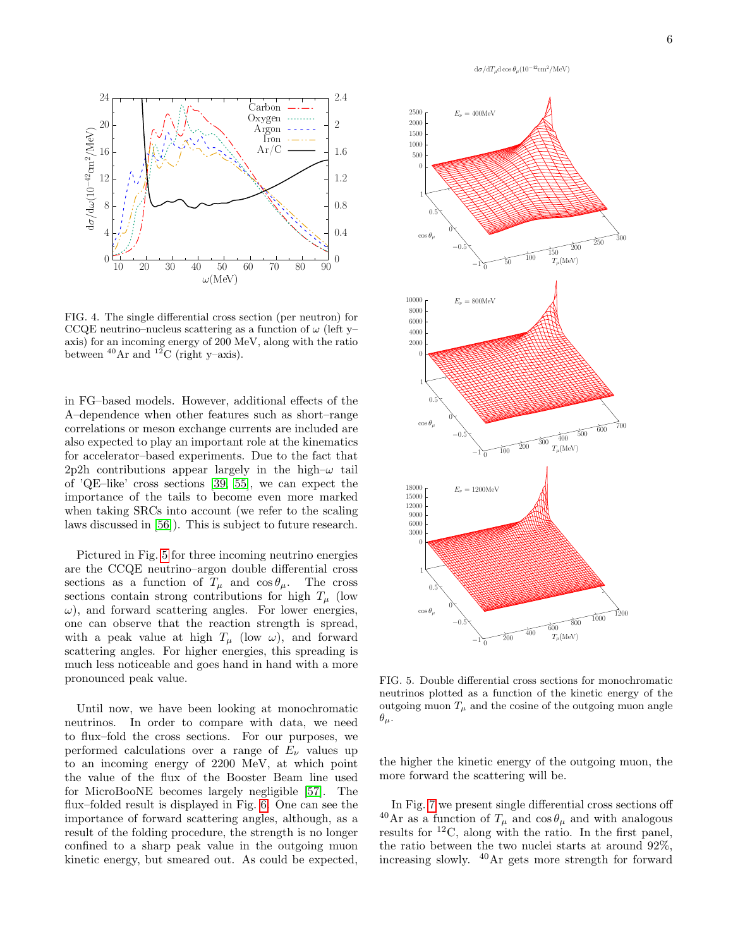

<span id="page-5-0"></span>FIG. 4. The single differential cross section (per neutron) for CCQE neutrino–nucleus scattering as a function of  $\omega$  (left y– axis) for an incoming energy of 200 MeV, along with the ratio between  $^{40}$ Ar and  $^{12}$ C (right y–axis).

in FG–based models. However, additional effects of the A–dependence when other features such as short–range correlations or meson exchange currents are included are also expected to play an important role at the kinematics for accelerator–based experiments. Due to the fact that 2p2h contributions appear largely in the high– $\omega$  tail of 'QE–like' cross sections [\[39,](#page-8-1) [55\]](#page-8-13), we can expect the importance of the tails to become even more marked when taking SRCs into account (we refer to the scaling laws discussed in [\[56\]](#page-8-14)). This is subject to future research.

Pictured in Fig. [5](#page-5-1) for three incoming neutrino energies are the CCQE neutrino–argon double differential cross sections as a function of  $T_{\mu}$  and  $\cos \theta_{\mu}$ . The cross sections contain strong contributions for high  $T_u$  (low  $\omega$ ), and forward scattering angles. For lower energies, one can observe that the reaction strength is spread, with a peak value at high  $T_{\mu}$  (low  $\omega$ ), and forward scattering angles. For higher energies, this spreading is much less noticeable and goes hand in hand with a more pronounced peak value.

Until now, we have been looking at monochromatic neutrinos. In order to compare with data, we need to flux–fold the cross sections. For our purposes, we performed calculations over a range of  $E_{\nu}$  values up to an incoming energy of 2200 MeV, at which point the value of the flux of the Booster Beam line used for MicroBooNE becomes largely negligible [\[57\]](#page-8-15). The flux–folded result is displayed in Fig. [6.](#page-6-0) One can see the importance of forward scattering angles, although, as a result of the folding procedure, the strength is no longer confined to a sharp peak value in the outgoing muon kinetic energy, but smeared out. As could be expected,



<span id="page-5-1"></span>FIG. 5. Double differential cross sections for monochromatic neutrinos plotted as a function of the kinetic energy of the outgoing muon  $T_{\mu}$  and the cosine of the outgoing muon angle  $\theta_\mu$ .

the higher the kinetic energy of the outgoing muon, the more forward the scattering will be.

In Fig. [7](#page-6-1) we present single differential cross sections off  $^{40}\text{Ar}$  as a function of  $T_{\mu}$  and  $\cos \theta_{\mu}$  and with analogous results for  ${}^{12}C$ , along with the ratio. In the first panel, the ratio between the two nuclei starts at around 92%, increasing slowly. <sup>40</sup>Ar gets more strength for forward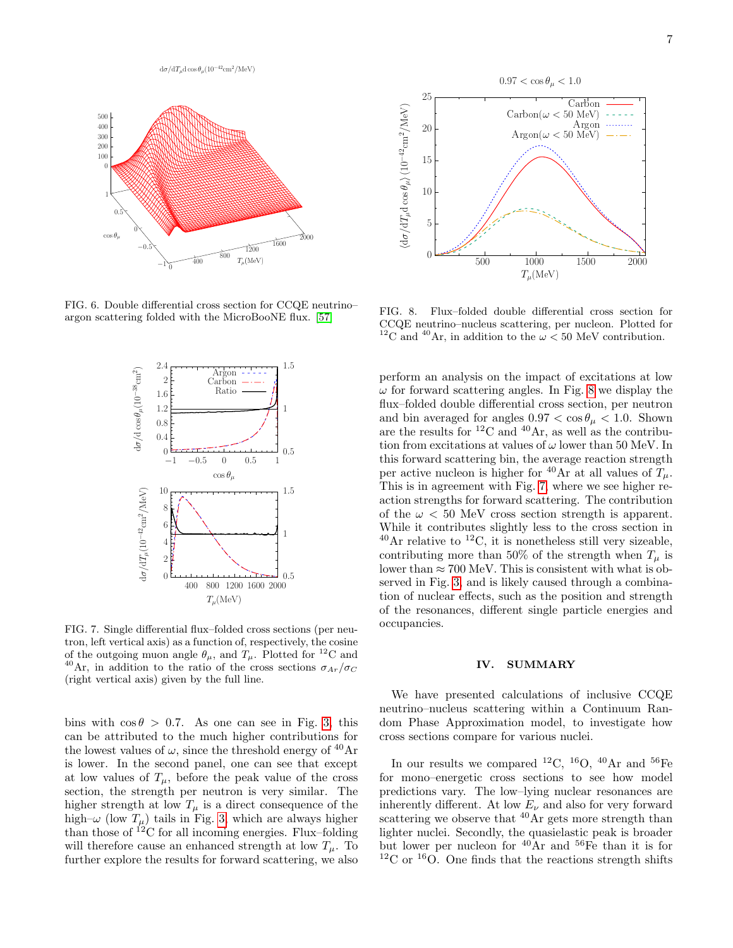

<span id="page-6-0"></span>FIG. 6. Double differential cross section for CCQE neutrino– argon scattering folded with the MicroBooNE flux. [\[57\]](#page-8-15)



<span id="page-6-1"></span>FIG. 7. Single differential flux–folded cross sections (per neutron, left vertical axis) as a function of, respectively, the cosine of the outgoing muon angle  $\theta_{\mu}$ , and  $T_{\mu}$ . Plotted for <sup>12</sup>C and <sup>40</sup>Ar, in addition to the ratio of the cross sections  $\sigma_{Ar}/\sigma_C$ (right vertical axis) given by the full line.

bins with  $\cos \theta > 0.7$ . As one can see in Fig. [3,](#page-4-0) this can be attributed to the much higher contributions for the lowest values of  $\omega$ , since the threshold energy of <sup>40</sup>Ar is lower. In the second panel, one can see that except at low values of  $T_{\mu}$ , before the peak value of the cross section, the strength per neutron is very similar. The higher strength at low  $T_{\mu}$  is a direct consequence of the high– $\omega$  (low  $T_{\mu}$ ) tails in Fig. [3,](#page-4-0) which are always higher than those of  $^{12}$ C for all incoming energies. Flux–folding will therefore cause an enhanced strength at low  $T_u$ . To further explore the results for forward scattering, we also



<span id="page-6-2"></span>FIG. 8. Flux–folded double differential cross section for CCQE neutrino–nucleus scattering, per nucleon. Plotted for <sup>12</sup>C and <sup>40</sup>Ar, in addition to the  $\omega$  < 50 MeV contribution.

perform an analysis on the impact of excitations at low  $\omega$  for forward scattering angles. In Fig. [8](#page-6-2) we display the flux–folded double differential cross section, per neutron and bin averaged for angles  $0.97 < \cos \theta_{\mu} < 1.0$ . Shown are the results for  ${}^{12}$ C and  ${}^{40}$ Ar, as well as the contribution from excitations at values of  $\omega$  lower than 50 MeV. In this forward scattering bin, the average reaction strength per active nucleon is higher for <sup>40</sup>Ar at all values of  $T_{\mu}$ . This is in agreement with Fig. [7,](#page-6-1) where we see higher reaction strengths for forward scattering. The contribution of the  $\omega < 50$  MeV cross section strength is apparent. While it contributes slightly less to the cross section in  $^{40}$ Ar relative to  $^{12}$ C, it is nonetheless still very sizeable, contributing more than 50% of the strength when  $T_{\mu}$  is lower than  $\approx 700$  MeV. This is consistent with what is observed in Fig. [3,](#page-4-0) and is likely caused through a combination of nuclear effects, such as the position and strength of the resonances, different single particle energies and occupancies.

### IV. SUMMARY

We have presented calculations of inclusive CCQE neutrino–nucleus scattering within a Continuum Random Phase Approximation model, to investigate how cross sections compare for various nuclei.

In our results we compared <sup>12</sup>C, <sup>16</sup>O, <sup>40</sup>Ar and <sup>56</sup>Fe for mono–energetic cross sections to see how model predictions vary. The low–lying nuclear resonances are inherently different. At low  $E_{\nu}$  and also for very forward scattering we observe that  $^{40}$ Ar gets more strength than lighter nuclei. Secondly, the quasielastic peak is broader but lower per nucleon for <sup>40</sup>Ar and <sup>56</sup>Fe than it is for  $12^{\circ}$  C or  $16^{\circ}$ O. One finds that the reactions strength shifts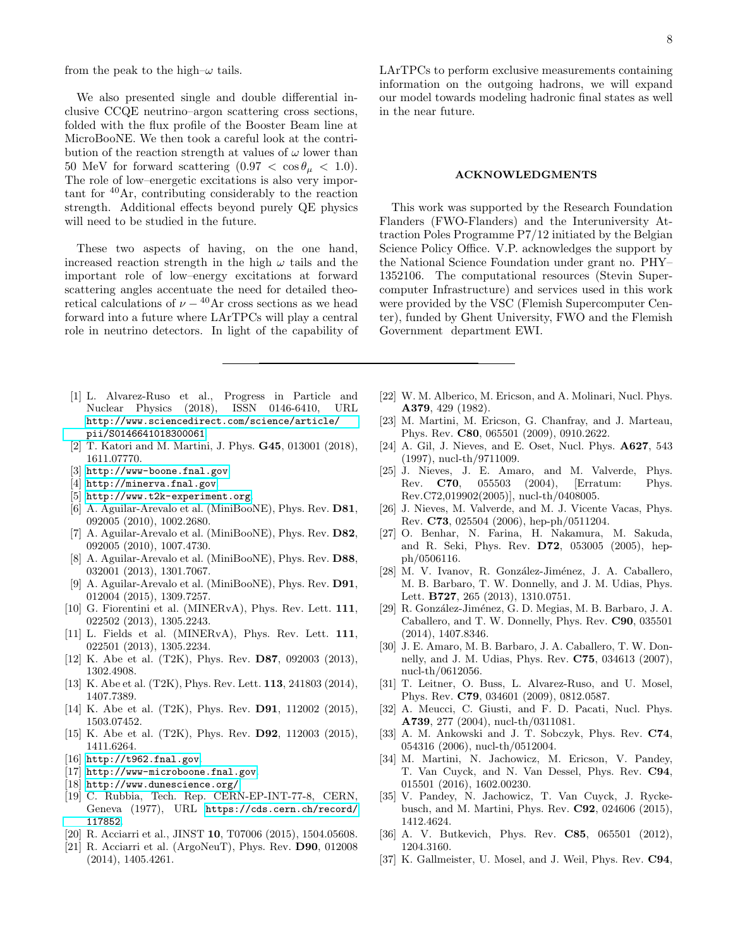from the peak to the high– $\omega$  tails.

We also presented single and double differential inclusive CCQE neutrino–argon scattering cross sections, folded with the flux profile of the Booster Beam line at MicroBooNE. We then took a careful look at the contribution of the reaction strength at values of  $\omega$  lower than 50 MeV for forward scattering  $(0.97 < \cos \theta_{\mu} < 1.0)$ . The role of low–energetic excitations is also very important for <sup>40</sup>Ar, contributing considerably to the reaction strength. Additional effects beyond purely QE physics will need to be studied in the future.

These two aspects of having, on the one hand, increased reaction strength in the high  $\omega$  tails and the important role of low–energy excitations at forward scattering angles accentuate the need for detailed theoretical calculations of  $\nu - {}^{40}Ar$  cross sections as we head forward into a future where LArTPCs will play a central role in neutrino detectors. In light of the capability of LArTPCs to perform exclusive measurements containing information on the outgoing hadrons, we will expand our model towards modeling hadronic final states as well in the near future.

### ACKNOWLEDGMENTS

This work was supported by the Research Foundation Flanders (FWO-Flanders) and the Interuniversity Attraction Poles Programme P7/12 initiated by the Belgian Science Policy Office. V.P. acknowledges the support by the National Science Foundation under grant no. PHY– 1352106. The computational resources (Stevin Supercomputer Infrastructure) and services used in this work were provided by the VSC (Flemish Supercomputer Center), funded by Ghent University, FWO and the Flemish Government department EWI.

- <span id="page-7-0"></span>[1] L. Alvarez-Ruso et al., Progress in Particle and Nuclear Physics (2018), ISSN 0146-6410, URL [http://www.sciencedirect.com/science/article/](http://www.sciencedirect.com/science/article/pii/S0146641018300061) [pii/S0146641018300061](http://www.sciencedirect.com/science/article/pii/S0146641018300061).
- <span id="page-7-1"></span>[2] T. Katori and M. Martini, J. Phys. G45, 013001 (2018), 1611.07770.
- <span id="page-7-2"></span>[3] <http://www-boone.fnal.gov>.
- <span id="page-7-3"></span>[4] <http://minerva.fnal.gov>.
- <span id="page-7-4"></span>[5] <http://www.t2k-experiment.org>.
- <span id="page-7-5"></span>[6] A. Aguilar-Arevalo et al. (MiniBooNE), Phys. Rev. **D81**, 092005 (2010), 1002.2680.
- [7] A. Aguilar-Arevalo et al. (MiniBooNE), Phys. Rev. D82, 092005 (2010), 1007.4730.
- [8] A. Aguilar-Arevalo et al. (MiniBooNE), Phys. Rev. D88, 032001 (2013), 1301.7067.
- [9] A. Aguilar-Arevalo et al. (MiniBooNE), Phys. Rev. D91, 012004 (2015), 1309.7257.
- [10] G. Fiorentini et al. (MINERvA), Phys. Rev. Lett. 111, 022502 (2013), 1305.2243.
- [11] L. Fields et al. (MINERvA), Phys. Rev. Lett. 111, 022501 (2013), 1305.2234.
- [12] K. Abe et al. (T2K), Phys. Rev. D87, 092003 (2013), 1302.4908.
- [13] K. Abe et al. (T2K), Phys. Rev. Lett. **113**, 241803 (2014), 1407.7389.
- [14] K. Abe et al. (T2K), Phys. Rev. **D91**, 112002 (2015), 1503.07452.
- <span id="page-7-6"></span>[15] K. Abe et al. (T2K), Phys. Rev. D92, 112003 (2015), 1411.6264.
- <span id="page-7-7"></span>[16] <http://t962.fnal.gov>.
- <span id="page-7-8"></span>[17] <http://www-microboone.fnal.gov>.
- <span id="page-7-9"></span>[18] <http://www.dunescience.org/>.
- <span id="page-7-10"></span>[19] C. Rubbia, Tech. Rep. CERN-EP-INT-77-8, CERN, Geneva (1977), URL [https://cds.cern.ch/record/](https://cds.cern.ch/record/117852) [117852](https://cds.cern.ch/record/117852).
- <span id="page-7-11"></span>[20] R. Acciarri et al., JINST **10**, T07006 (2015), 1504.05608.
- <span id="page-7-12"></span>[21] R. Acciarri et al. (ArgoNeuT), Phys. Rev. D90, 012008 (2014), 1405.4261.
- <span id="page-7-13"></span>[22] W. M. Alberico, M. Ericson, and A. Molinari, Nucl. Phys. A379, 429 (1982).
- [23] M. Martini, M. Ericson, G. Chanfray, and J. Marteau, Phys. Rev. C80, 065501 (2009), 0910.2622.
- [24] A. Gil, J. Nieves, and E. Oset, Nucl. Phys. A627, 543 (1997), nucl-th/9711009.
- [25] J. Nieves, J. E. Amaro, and M. Valverde, Phys. Rev. C70, 055503 (2004), [Erratum: Phys. Rev.C72,019902(2005)], nucl-th/0408005.
- [26] J. Nieves, M. Valverde, and M. J. Vicente Vacas, Phys. Rev. C73, 025504 (2006), hep-ph/0511204.
- [27] O. Benhar, N. Farina, H. Nakamura, M. Sakuda, and R. Seki, Phys. Rev. D72, 053005 (2005), hepph/0506116.
- [28] M. V. Ivanov, R. González-Jiménez, J. A. Caballero, M. B. Barbaro, T. W. Donnelly, and J. M. Udias, Phys. Lett. B727, 265 (2013), 1310.0751.
- [29] R. González-Jiménez, G. D. Megias, M. B. Barbaro, J. A. Caballero, and T. W. Donnelly, Phys. Rev. C90, 035501 (2014), 1407.8346.
- [30] J. E. Amaro, M. B. Barbaro, J. A. Caballero, T. W. Donnelly, and J. M. Udias, Phys. Rev. C75, 034613 (2007), nucl-th/0612056.
- [31] T. Leitner, O. Buss, L. Alvarez-Ruso, and U. Mosel, Phys. Rev. C79, 034601 (2009), 0812.0587.
- [32] A. Meucci, C. Giusti, and F. D. Pacati, Nucl. Phys. A739, 277 (2004), nucl-th/0311081.
- <span id="page-7-16"></span>[33] A. M. Ankowski and J. T. Sobczyk, Phys. Rev. C74, 054316 (2006), nucl-th/0512004.
- <span id="page-7-14"></span>[34] M. Martini, N. Jachowicz, M. Ericson, V. Pandey, T. Van Cuyck, and N. Van Dessel, Phys. Rev. C94, 015501 (2016), 1602.00230.
- <span id="page-7-15"></span>[35] V. Pandey, N. Jachowicz, T. Van Cuyck, J. Ryckebusch, and M. Martini, Phys. Rev. C92, 024606 (2015), 1412.4624.
- <span id="page-7-17"></span>[36] A. V. Butkevich, Phys. Rev. **C85**, 065501 (2012), 1204.3160.
- <span id="page-7-18"></span>[37] K. Gallmeister, U. Mosel, and J. Weil, Phys. Rev.  $C94$ ,